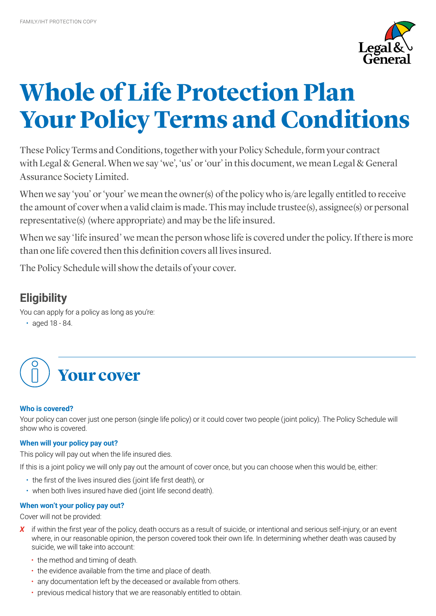

# **Whole of Life Protection Plan Your Policy Terms and Conditions**

These Policy Terms and Conditions, together with your Policy Schedule, form your contract with Legal & General. When we say 'we', 'us' or 'our' in this document, we mean Legal & General Assurance Society Limited.

When we say 'you' or 'your' we mean the owner(s) of the policy who is/are legally entitled to receive the amount of cover when a valid claim is made. This may include trustee(s), assignee(s) or personal representative(s) (where appropriate) and may be the life insured.

When we say 'life insured' we mean the person whose life is covered under the policy. If there is more than one life covered then this definition covers all lives insured.

The Policy Schedule will show the details of your cover.

## **Eligibility**

You can apply for a policy as long as you're:

• aged 18 - 84.



### **Who is covered?**

Your policy can cover just one person (single life policy) or it could cover two people (joint policy). The Policy Schedule will show who is covered.

### **When will your policy pay out?**

This policy will pay out when the life insured dies.

If this is a joint policy we will only pay out the amount of cover once, but you can choose when this would be, either:

- the first of the lives insured dies (joint life first death), or
- when both lives insured have died (joint life second death).

### **When won't your policy pay out?**

Cover will not be provided:

- X if within the first year of the policy, death occurs as a result of suicide, or intentional and serious self-injury, or an event where, in our reasonable opinion, the person covered took their own life. In determining whether death was caused by suicide, we will take into account:
	- the method and timing of death.
	- the evidence available from the time and place of death.
	- any documentation left by the deceased or available from others.
	- previous medical history that we are reasonably entitled to obtain.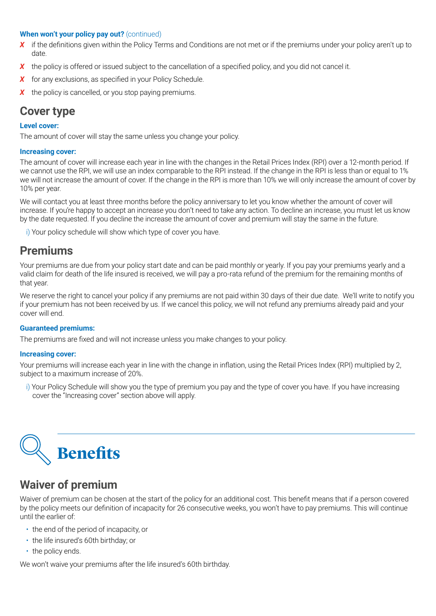### **When won't your policy pay out?** (continued)

- **X** if the definitions given within the Policy Terms and Conditions are not met or if the premiums under your policy aren't up to date.
- *X* the policy is offered or issued subject to the cancellation of a specified policy, and you did not cancel it.
- *X* for any exclusions, as specified in your Policy Schedule.
- *X* the policy is cancelled, or you stop paying premiums.

### **Cover type**

### **Level cover:**

The amount of cover will stay the same unless you change your policy.

### **Increasing cover:**

The amount of cover will increase each year in line with the changes in the Retail Prices Index (RPI) over a 12-month period. If we cannot use the RPI, we will use an index comparable to the RPI instead. If the change in the RPI is less than or equal to 1% we will not increase the amount of cover. If the change in the RPI is more than 10% we will only increase the amount of cover by 10% per year.

We will contact you at least three months before the policy anniversary to let you know whether the amount of cover will increase. If you're happy to accept an increase you don't need to take any action. To decline an increase, you must let us know by the date requested. If you decline the increase the amount of cover and premium will stay the same in the future.

i) Your policy schedule will show which type of cover you have.

### **Premiums**

Your premiums are due from your policy start date and can be paid monthly or yearly. If you pay your premiums yearly and a valid claim for death of the life insured is received, we will pay a pro-rata refund of the premium for the remaining months of that year.

We reserve the right to cancel your policy if any premiums are not paid within 30 days of their due date. We'll write to notify you if your premium has not been received by us. If we cancel this policy, we will not refund any premiums already paid and your cover will end.

### **Guaranteed premiums:**

The premiums are fixed and will not increase unless you make changes to your policy.

### **Increasing cover:**

Your premiums will increase each year in line with the change in inflation, using the Retail Prices Index (RPI) multiplied by 2, subject to a maximum increase of 20%.

i) Your Policy Schedule will show you the type of premium you pay and the type of cover you have. If you have increasing cover the "Increasing cover" section above will apply.



### **Waiver of premium**

Waiver of premium can be chosen at the start of the policy for an additional cost. This benefit means that if a person covered by the policy meets our definition of incapacity for 26 consecutive weeks, you won't have to pay premiums. This will continue until the earlier of:

- the end of the period of incapacity, or
- the life insured's 60th birthday; or
- the policy ends.

We won't waive your premiums after the life insured's 60th birthday.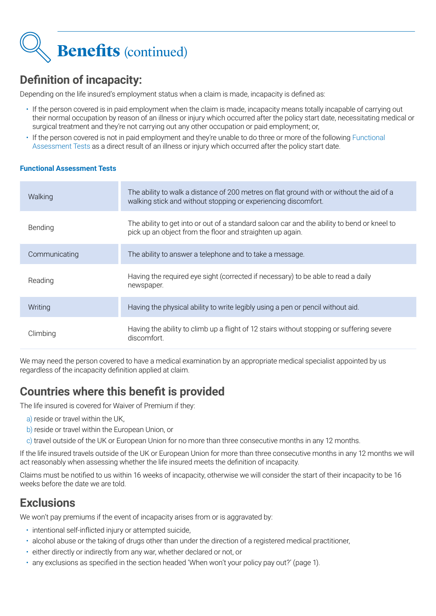

## **Definition of incapacity:**

Depending on the life insured's employment status when a claim is made, incapacity is defined as:

- If the person covered is in paid employment when the claim is made, incapacity means totally incapable of carrying out their normal occupation by reason of an illness or injury which occurred after the policy start date, necessitating medical or surgical treatment and they're not carrying out any other occupation or paid employment; or,
- If the person covered is not in paid employment and they're unable to do three or more of the following Functional Assessment Tests as a direct result of an illness or injury which occurred after the policy start date.

### **Functional Assessment Tests**

| Walking       | The ability to walk a distance of 200 metres on flat ground with or without the aid of a<br>walking stick and without stopping or experiencing discomfort. |
|---------------|------------------------------------------------------------------------------------------------------------------------------------------------------------|
| Bending       | The ability to get into or out of a standard saloon car and the ability to bend or kneel to<br>pick up an object from the floor and straighten up again.   |
| Communicating | The ability to answer a telephone and to take a message.                                                                                                   |
| Reading       | Having the required eye sight (corrected if necessary) to be able to read a daily<br>newspaper.                                                            |
| Writing       | Having the physical ability to write legibly using a pen or pencil without aid.                                                                            |
| Climbing      | Having the ability to climb up a flight of 12 stairs without stopping or suffering severe<br>discomfort.                                                   |

We may need the person covered to have a medical examination by an appropriate medical specialist appointed by us regardless of the incapacity definition applied at claim.

## **Countries where this benefit is provided**

The life insured is covered for Waiver of Premium if they:

- a) reside or travel within the UK,
- b) reside or travel within the European Union, or
- c) travel outside of the UK or European Union for no more than three consecutive months in any 12 months.

If the life insured travels outside of the UK or European Union for more than three consecutive months in any 12 months we will act reasonably when assessing whether the life insured meets the definition of incapacity.

Claims must be notified to us within 16 weeks of incapacity, otherwise we will consider the start of their incapacity to be 16 weeks before the date we are told.

### **Exclusions**

We won't pay premiums if the event of incapacity arises from or is aggravated by:

- intentional self-inflicted injury or attempted suicide,
- alcohol abuse or the taking of drugs other than under the direction of a registered medical practitioner,
- either directly or indirectly from any war, whether declared or not, or
- any exclusions as specified in the section headed 'When won't your policy pay out?' (page 1).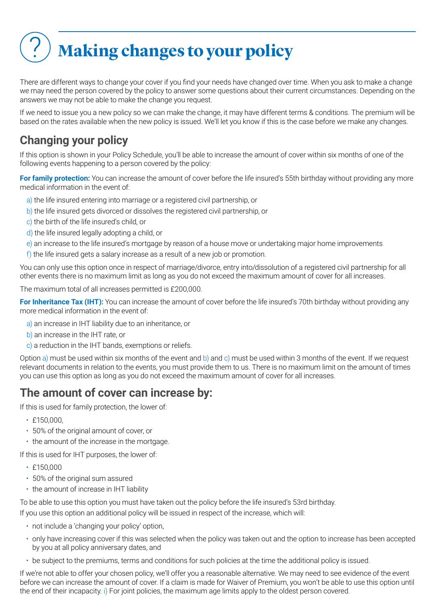## ? **Making changes to your policy**

There are different ways to change your cover if you find your needs have changed over time. When you ask to make a change we may need the person covered by the policy to answer some questions about their current circumstances. Depending on the answers we may not be able to make the change you request.

If we need to issue you a new policy so we can make the change, it may have different terms & conditions. The premium will be based on the rates available when the new policy is issued. We'll let you know if this is the case before we make any changes.

## **Changing your policy**

If this option is shown in your Policy Schedule, you'll be able to increase the amount of cover within six months of one of the following events happening to a person covered by the policy:

**For family protection:** You can increase the amount of cover before the life insured's 55th birthday without providing any more medical information in the event of:

- a) the life insured entering into marriage or a registered civil partnership, or
- b) the life insured gets divorced or dissolves the registered civil partnership, or
- c) the birth of the life insured's child, or
- d) the life insured legally adopting a child, or
- e) an increase to the life insured's mortgage by reason of a house move or undertaking major home improvements
- f) the life insured gets a salary increase as a result of a new job or promotion.

You can only use this option once in respect of marriage/divorce, entry into/dissolution of a registered civil partnership for all other events there is no maximum limit as long as you do not exceed the maximum amount of cover for all increases.

The maximum total of all increases permitted is £200,000.

**For Inheritance Tax (IHT):** You can increase the amount of cover before the life insured's 70th birthday without providing any more medical information in the event of:

- a) an increase in IHT liability due to an inheritance, or
- b) an increase in the IHT rate, or
- c) a reduction in the IHT bands, exemptions or reliefs.

Option a) must be used within six months of the event and b) and c) must be used within 3 months of the event. If we request relevant documents in relation to the events, you must provide them to us. There is no maximum limit on the amount of times you can use this option as long as you do not exceed the maximum amount of cover for all increases.

### **The amount of cover can increase by:**

If this is used for family protection, the lower of:

- £150,000.
- 50% of the original amount of cover, or
- the amount of the increase in the mortgage.

If this is used for IHT purposes, the lower of:

- £150,000
- 50% of the original sum assured
- the amount of increase in IHT liability

To be able to use this option you must have taken out the policy before the life insured's 53rd birthday.

If you use this option an additional policy will be issued in respect of the increase, which will:

- not include a 'changing your policy' option,
- only have increasing cover if this was selected when the policy was taken out and the option to increase has been accepted by you at all policy anniversary dates, and
- be subject to the premiums, terms and conditions for such policies at the time the additional policy is issued.

If we're not able to offer your chosen policy, we'll offer you a reasonable alternative. We may need to see evidence of the event before we can increase the amount of cover. If a claim is made for Waiver of Premium, you won't be able to use this option until the end of their incapacity. i) For joint policies, the maximum age limits apply to the oldest person covered.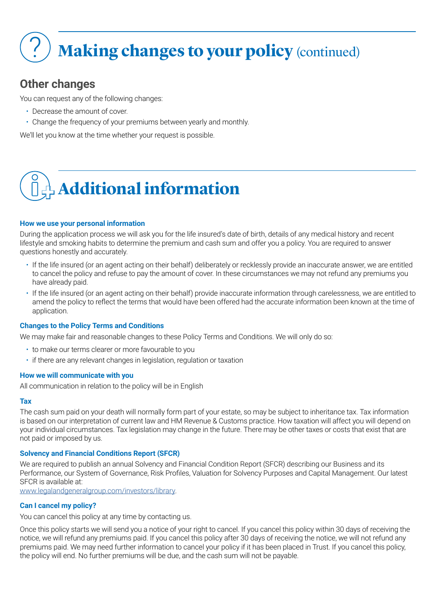## **Making changes to your policy (continued)**

## **Other changes**

You can request any of the following changes:

- Decrease the amount of cover.
- Change the frequency of your premiums between yearly and monthly.

We'll let you know at the time whether your request is possible.

## **+ Additional information**

### **How we use your personal information**

During the application process we will ask you for the life insured's date of birth, details of any medical history and recent lifestyle and smoking habits to determine the premium and cash sum and offer you a policy. You are required to answer questions honestly and accurately.

- If the life insured (or an agent acting on their behalf) deliberately or recklessly provide an inaccurate answer, we are entitled to cancel the policy and refuse to pay the amount of cover. In these circumstances we may not refund any premiums you have already paid.
- If the life insured (or an agent acting on their behalf) provide inaccurate information through carelessness, we are entitled to amend the policy to reflect the terms that would have been offered had the accurate information been known at the time of application.

### **Changes to the Policy Terms and Conditions**

We may make fair and reasonable changes to these Policy Terms and Conditions. We will only do so:

- to make our terms clearer or more favourable to you
- if there are any relevant changes in legislation, regulation or taxation

### **How we will communicate with you**

All communication in relation to the policy will be in English

#### **Tax**

The cash sum paid on your death will normally form part of your estate, so may be subject to inheritance tax. Tax information is based on our interpretation of current law and HM Revenue & Customs practice. How taxation will affect you will depend on your individual circumstances. Tax legislation may change in the future. There may be other taxes or costs that exist that are not paid or imposed by us.

### **Solvency and Financial Conditions Report (SFCR)**

We are required to publish an annual Solvency and Financial Condition Report (SFCR) describing our Business and its Performance, our System of Governance, Risk Profiles, Valuation for Solvency Purposes and Capital Management. Our latest SFCR is available at:

[www.legalandgeneralgroup.com/investors/library](http://www.legalandgeneralgroup.com/investors/library).

### **Can I cancel my policy?**

You can cancel this policy at any time by contacting us.

Once this policy starts we will send you a notice of your right to cancel. If you cancel this policy within 30 days of receiving the notice, we will refund any premiums paid. If you cancel this policy after 30 days of receiving the notice, we will not refund any premiums paid. We may need further information to cancel your policy if it has been placed in Trust. If you cancel this policy, the policy will end. No further premiums will be due, and the cash sum will not be payable.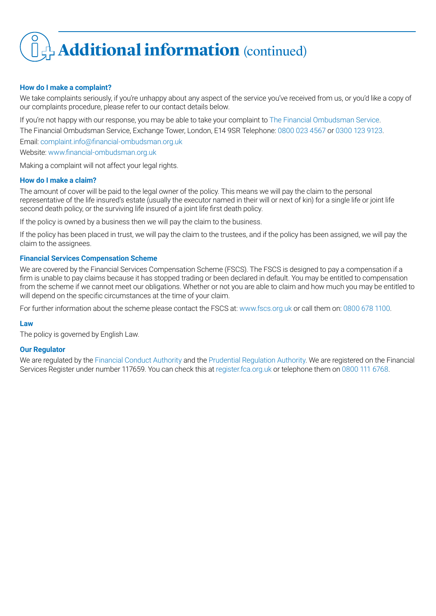## **+ Additional information** (continued)

### **How do I make a complaint?**

We take complaints seriously, if you're unhappy about any aspect of the service you've received from us, or you'd like a copy of our complaints procedure, please refer to our contact details below.

If you're not happy with our response, you may be able to take your complaint to The Financial Ombudsman Service. The Financial Ombudsman Service, Exchange Tower, London, E14 9SR Telephone: 0800 023 4567 or 0300 123 9123.

Email: complaint.info@financial-ombudsman.org.uk

Website: www.financial-ombudsman.org.uk

Making a complaint will not affect your legal rights.

### **How do I make a claim?**

The amount of cover will be paid to the legal owner of the policy. This means we will pay the claim to the personal representative of the life insured's estate (usually the executor named in their will or next of kin) for a single life or joint life second death policy, or the surviving life insured of a joint life first death policy.

If the policy is owned by a business then we will pay the claim to the business.

If the policy has been placed in trust, we will pay the claim to the trustees, and if the policy has been assigned, we will pay the claim to the assignees.

### **Financial Services Compensation Scheme**

We are covered by the Financial Services Compensation Scheme (FSCS). The FSCS is designed to pay a compensation if a firm is unable to pay claims because it has stopped trading or been declared in default. You may be entitled to compensation from the scheme if we cannot meet our obligations. Whether or not you are able to claim and how much you may be entitled to will depend on the specific circumstances at the time of your claim.

For further information about the scheme please contact the FSCS at: www.fscs.org.uk or call them on: 0800 678 1100.

#### **Law**

The policy is governed by English Law.

#### **Our Regulator**

We are regulated by the Financial Conduct Authority and the Prudential Regulation Authority. We are registered on the Financial Services Register under number 117659. You can check this at register.fca.org.uk or telephone them on 0800 111 6768.